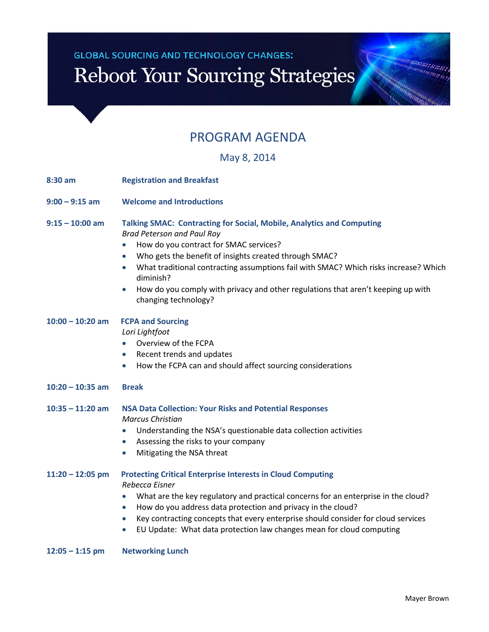# **GLOBAL SOURCING AND TECHNOLOGY CHANGES:** Reboot Your Sourcing Strategies

### PROGRAM AGENDA

May 8, 2014

| 8:30 am            | <b>Registration and Breakfast</b>                                                                                                                                                                                                                                                                                                                                                                                                                                                   |  |  |
|--------------------|-------------------------------------------------------------------------------------------------------------------------------------------------------------------------------------------------------------------------------------------------------------------------------------------------------------------------------------------------------------------------------------------------------------------------------------------------------------------------------------|--|--|
| $9:00 - 9:15$ am   | <b>Welcome and Introductions</b>                                                                                                                                                                                                                                                                                                                                                                                                                                                    |  |  |
| $9:15 - 10:00$ am  | Talking SMAC: Contracting for Social, Mobile, Analytics and Computing<br><b>Brad Peterson and Paul Roy</b><br>How do you contract for SMAC services?<br>$\bullet$<br>Who gets the benefit of insights created through SMAC?<br>$\bullet$<br>What traditional contracting assumptions fail with SMAC? Which risks increase? Which<br>$\bullet$<br>diminish?<br>How do you comply with privacy and other regulations that aren't keeping up with<br>$\bullet$<br>changing technology? |  |  |
| $10:00 - 10:20$ am | <b>FCPA and Sourcing</b><br>Lori Lightfoot<br>Overview of the FCPA<br>$\bullet$<br>Recent trends and updates<br>$\bullet$<br>How the FCPA can and should affect sourcing considerations<br>$\bullet$                                                                                                                                                                                                                                                                                |  |  |
| $10:20 - 10:35$ am | <b>Break</b>                                                                                                                                                                                                                                                                                                                                                                                                                                                                        |  |  |
| $10:35 - 11:20$ am | <b>NSA Data Collection: Your Risks and Potential Responses</b><br><b>Marcus Christian</b><br>Understanding the NSA's questionable data collection activities<br>$\bullet$<br>Assessing the risks to your company<br>$\bullet$<br>Mitigating the NSA threat<br>$\bullet$                                                                                                                                                                                                             |  |  |
| $11:20 - 12:05$ pm | <b>Protecting Critical Enterprise Interests in Cloud Computing</b><br>Rebecca Eisner<br>What are the key regulatory and practical concerns for an enterprise in the cloud?<br>How do you address data protection and privacy in the cloud?<br>$\bullet$<br>Key contracting concepts that every enterprise should consider for cloud services<br>$\bullet$<br>EU Update: What data protection law changes mean for cloud computing<br>$\bullet$                                      |  |  |
| $12:05 - 1:15$ pm  | <b>Networking Lunch</b>                                                                                                                                                                                                                                                                                                                                                                                                                                                             |  |  |